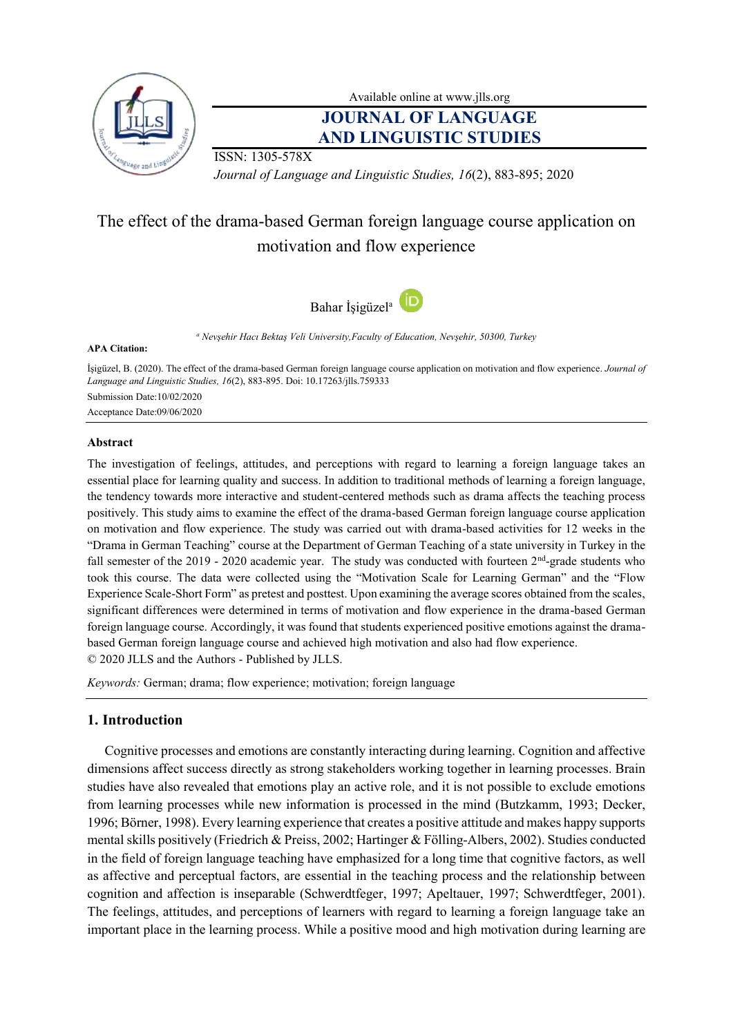

Available online at [www.jlls.org](http://www.jlls.org/)

# **JOURNAL OF LANGUAGE AND LINGUISTIC STUDIES**

ISSN: 1305-578X

*Journal of Language and Linguistic Studies, 16*(2), 883-895; 2020

# The effect of the drama-based German foreign language course application on motivation and flow experience



*<sup>a</sup> Nevşehir Hacı Bektaş Veli University,Faculty of Education, Nevşehir, 50300, Turkey*

#### **APA Citation:**

İşigüzel, B. (2020). The effect of the drama-based German foreign language course application on motivation and flow experience. *Journal of Language and Linguistic Studies, 16*(2), 883-895. Doi: 10.17263/jlls.759333 Submission Date:10/02/2020 Acceptance Date:09/06/2020

### **Abstract**

The investigation of feelings, attitudes, and perceptions with regard to learning a foreign language takes an essential place for learning quality and success. In addition to traditional methods of learning a foreign language, the tendency towards more interactive and student-centered methods such as drama affects the teaching process positively. This study aims to examine the effect of the drama-based German foreign language course application on motivation and flow experience. The study was carried out with drama-based activities for 12 weeks in the "Drama in German Teaching" course at the Department of German Teaching of a state university in Turkey in the fall semester of the 2019 - 2020 academic year. The study was conducted with fourteen 2<sup>nd</sup>-grade students who took this course. The data were collected using the "Motivation Scale for Learning German" and the "Flow Experience Scale-Short Form" as pretest and posttest. Upon examining the average scores obtained from the scales, significant differences were determined in terms of motivation and flow experience in the drama-based German foreign language course. Accordingly, it was found that students experienced positive emotions against the dramabased German foreign language course and achieved high motivation and also had flow experience. © 2020 JLLS and the Authors - Published by JLLS.

*Keywords:* German; drama; flow experience; motivation; foreign language

## **1. Introduction**

Cognitive processes and emotions are constantly interacting during learning. Cognition and affective dimensions affect success directly as strong stakeholders working together in learning processes. Brain studies have also revealed that emotions play an active role, and it is not possible to exclude emotions from learning processes while new information is processed in the mind (Butzkamm, 1993; Decker, 1996; Börner, 1998). Every learning experience that creates a positive attitude and makes happy supports mental skills positively (Friedrich & Preiss, 2002; Hartinger & Fölling-Albers, 2002). Studies conducted in the field of foreign language teaching have emphasized for a long time that cognitive factors, as well as affective and perceptual factors, are essential in the teaching process and the relationship between cognition and affection is inseparable (Schwerdtfeger, 1997; Apeltauer, 1997; Schwerdtfeger, 2001). The feelings, attitudes, and perceptions of learners with regard to learning a foreign language take an important place in the learning process. While a positive mood and high motivation during learning are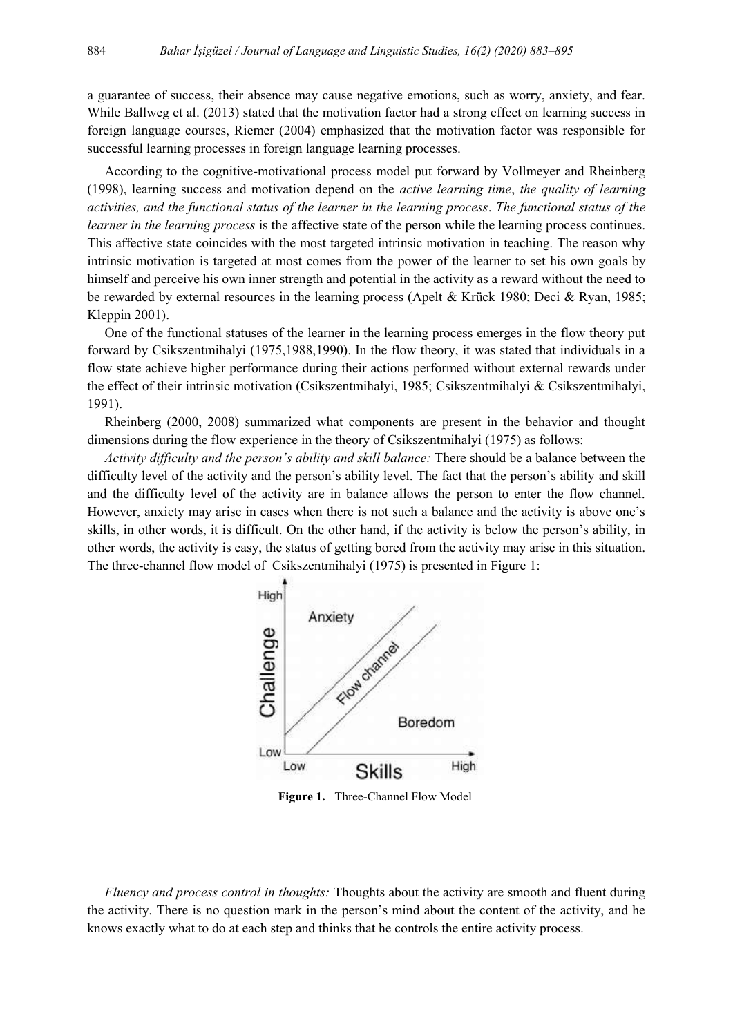a guarantee of success, their absence may cause negative emotions, such as worry, anxiety, and fear. While Ballweg et al. (2013) stated that the motivation factor had a strong effect on learning success in foreign language courses, Riemer (2004) emphasized that the motivation factor was responsible for successful learning processes in foreign language learning processes.

According to the cognitive-motivational process model put forward by Vollmeyer and Rheinberg (1998), learning success and motivation depend on the *active learning time*, *the quality of learning activities, and the functional status of the learner in the learning process*. *The functional status of the learner in the learning process* is the affective state of the person while the learning process continues. This affective state coincides with the most targeted intrinsic motivation in teaching. The reason why intrinsic motivation is targeted at most comes from the power of the learner to set his own goals by himself and perceive his own inner strength and potential in the activity as a reward without the need to be rewarded by external resources in the learning process (Apelt & Krück 1980; Deci & Ryan, 1985; Kleppin 2001).

One of the functional statuses of the learner in the learning process emerges in the flow theory put forward by Csikszentmihalyi (1975,1988,1990). In the flow theory, it was stated that individuals in a flow state achieve higher performance during their actions performed without external rewards under the effect of their intrinsic motivation (Csikszentmihalyi, 1985; Csikszentmihalyi & Csikszentmihalyi, 1991).

Rheinberg (2000, 2008) summarized what components are present in the behavior and thought dimensions during the flow experience in the theory of Csikszentmihalyi (1975) as follows:

*Activity difficulty and the person's ability and skill balance:* There should be a balance between the difficulty level of the activity and the person's ability level. The fact that the person's ability and skill and the difficulty level of the activity are in balance allows the person to enter the flow channel. However, anxiety may arise in cases when there is not such a balance and the activity is above one's skills, in other words, it is difficult. On the other hand, if the activity is below the person's ability, in other words, the activity is easy, the status of getting bored from the activity may arise in this situation. The three-channel flow model of Csikszentmihalyi (1975) is presented in Figure 1:



**Figure 1.** Three-Channel Flow Model

*Fluency and process control in thoughts:* Thoughts about the activity are smooth and fluent during the activity. There is no question mark in the person's mind about the content of the activity, and he knows exactly what to do at each step and thinks that he controls the entire activity process.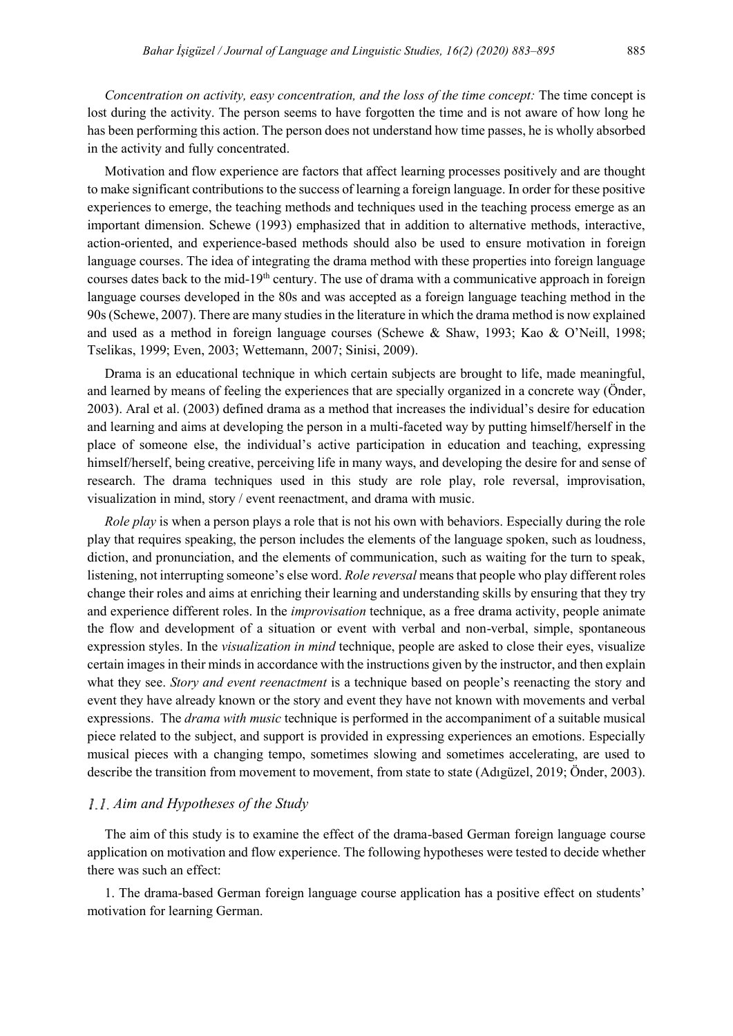*Concentration on activity, easy concentration, and the loss of the time concept:* The time concept is lost during the activity. The person seems to have forgotten the time and is not aware of how long he has been performing this action. The person does not understand how time passes, he is wholly absorbed in the activity and fully concentrated.

Motivation and flow experience are factors that affect learning processes positively and are thought to make significant contributions to the success of learning a foreign language. In order for these positive experiences to emerge, the teaching methods and techniques used in the teaching process emerge as an important dimension. Schewe (1993) emphasized that in addition to alternative methods, interactive, action-oriented, and experience-based methods should also be used to ensure motivation in foreign language courses. The idea of integrating the drama method with these properties into foreign language courses dates back to the mid-19th century. The use of drama with a communicative approach in foreign language courses developed in the 80s and was accepted as a foreign language teaching method in the 90s (Schewe, 2007). There are many studies in the literature in which the drama method is now explained and used as a method in foreign language courses (Schewe & Shaw, 1993; Kao & O'Neill, 1998; Tselikas, 1999; Even, 2003; Wettemann, 2007; Sinisi, 2009).

Drama is an educational technique in which certain subjects are brought to life, made meaningful, and learned by means of feeling the experiences that are specially organized in a concrete way (Önder, 2003). Aral et al. (2003) defined drama as a method that increases the individual's desire for education and learning and aims at developing the person in a multi-faceted way by putting himself/herself in the place of someone else, the individual's active participation in education and teaching, expressing himself/herself, being creative, perceiving life in many ways, and developing the desire for and sense of research. The drama techniques used in this study are role play, role reversal, improvisation, visualization in mind, story / event reenactment, and drama with music.

*Role play* is when a person plays a role that is not his own with behaviors. Especially during the role play that requires speaking, the person includes the elements of the language spoken, such as loudness, diction, and pronunciation, and the elements of communication, such as waiting for the turn to speak, listening, not interrupting someone's else word. *Role reversal* means that people who play different roles change their roles and aims at enriching their learning and understanding skills by ensuring that they try and experience different roles. In the *improvisation* technique, as a free drama activity, people animate the flow and development of a situation or event with verbal and non-verbal, simple, spontaneous expression styles. In the *visualization in mind* technique, people are asked to close their eyes, visualize certain images in their minds in accordance with the instructions given by the instructor, and then explain what they see. *Story and event reenactment* is a technique based on people's reenacting the story and event they have already known or the story and event they have not known with movements and verbal expressions. The *drama with music* technique is performed in the accompaniment of a suitable musical piece related to the subject, and support is provided in expressing experiences an emotions. Especially musical pieces with a changing tempo, sometimes slowing and sometimes accelerating, are used to describe the transition from movement to movement, from state to state (Adıgüzel, 2019; Önder, 2003).

#### *Aim and Hypotheses of the Study*

The aim of this study is to examine the effect of the drama-based German foreign language course application on motivation and flow experience. The following hypotheses were tested to decide whether there was such an effect:

1. The drama-based German foreign language course application has a positive effect on students' motivation for learning German.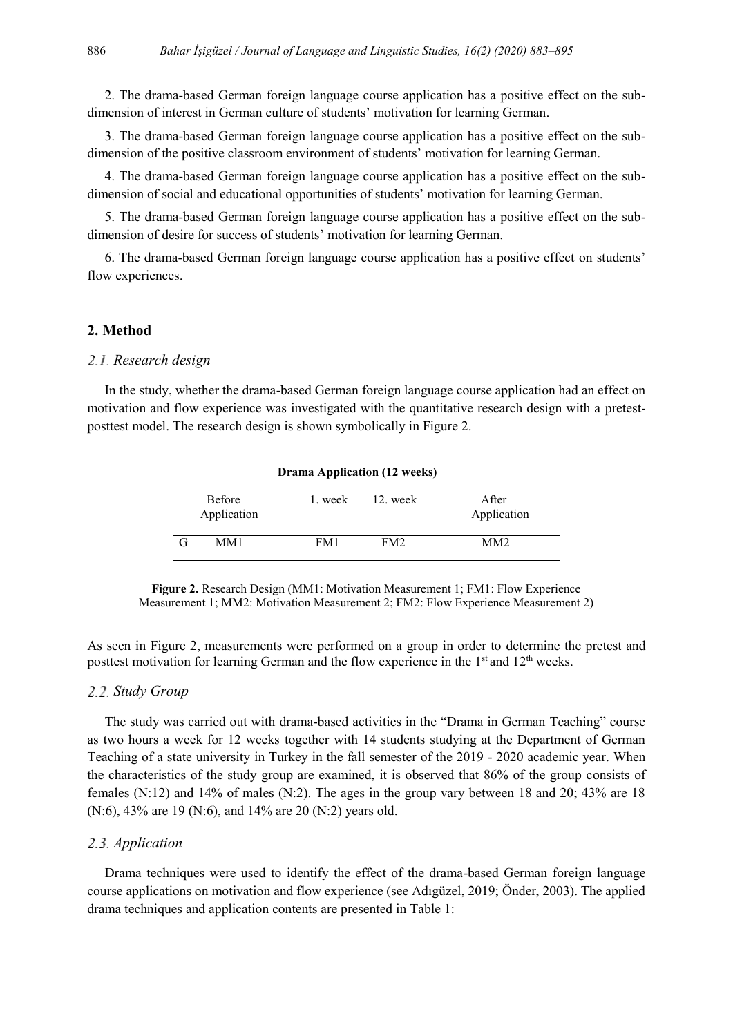2. The drama-based German foreign language course application has a positive effect on the subdimension of interest in German culture of students' motivation for learning German.

3. The drama-based German foreign language course application has a positive effect on the subdimension of the positive classroom environment of students' motivation for learning German.

4. The drama-based German foreign language course application has a positive effect on the subdimension of social and educational opportunities of students' motivation for learning German.

5. The drama-based German foreign language course application has a positive effect on the subdimension of desire for success of students' motivation for learning German.

6. The drama-based German foreign language course application has a positive effect on students' flow experiences.

#### **2. Method**

#### *Research design*

In the study, whether the drama-based German foreign language course application had an effect on motivation and flow experience was investigated with the quantitative research design with a pretestposttest model. The research design is shown symbolically in Figure 2.

|   | <b>Before</b><br>Application | 1. week | 12. week | After<br>Application |
|---|------------------------------|---------|----------|----------------------|
| G | MM1                          | FM1     | FM2      | MM <sup>2</sup>      |

**Drama Application (12 weeks)**

**Figure 2.** Research Design (MM1: Motivation Measurement 1; FM1: Flow Experience Measurement 1; MM2: Motivation Measurement 2; FM2: Flow Experience Measurement 2)

As seen in Figure 2, measurements were performed on a group in order to determine the pretest and posttest motivation for learning German and the flow experience in the  $1<sup>st</sup>$  and  $12<sup>th</sup>$  weeks.

#### *Study Group*

The study was carried out with drama-based activities in the "Drama in German Teaching" course as two hours a week for 12 weeks together with 14 students studying at the Department of German Teaching of a state university in Turkey in the fall semester of the 2019 - 2020 academic year. When the characteristics of the study group are examined, it is observed that 86% of the group consists of females (N:12) and 14% of males (N:2). The ages in the group vary between 18 and 20; 43% are 18 (N:6), 43% are 19 (N:6), and 14% are 20 (N:2) years old.

## *Application*

Drama techniques were used to identify the effect of the drama-based German foreign language course applications on motivation and flow experience (see Adıgüzel, 2019; Önder, 2003). The applied drama techniques and application contents are presented in Table 1: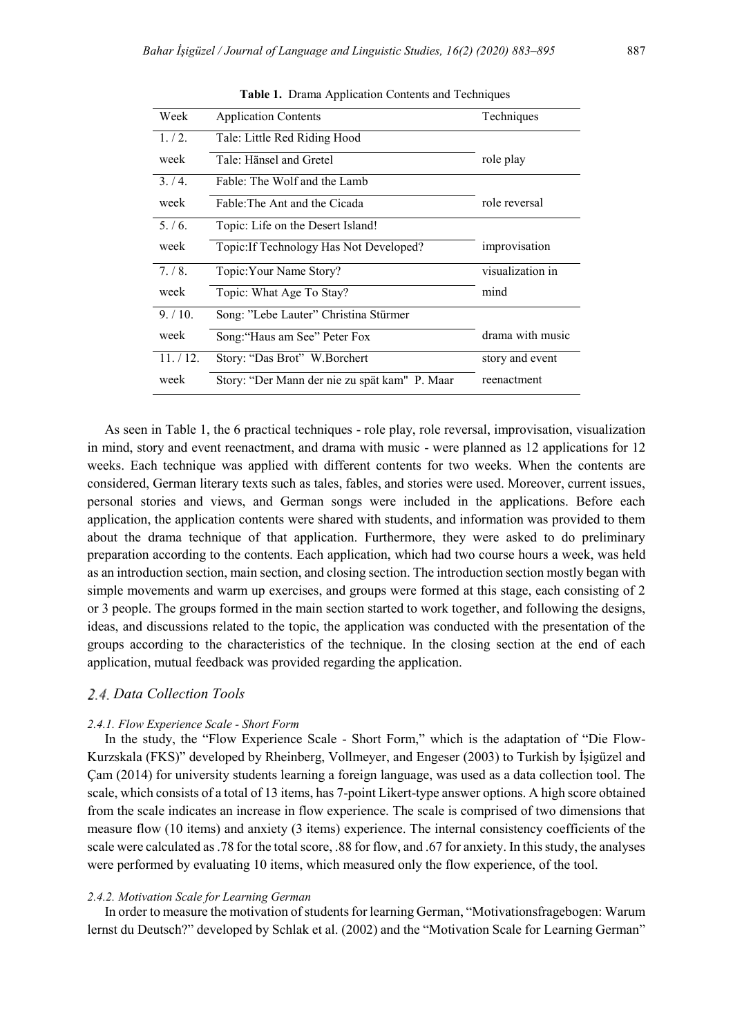| Week      | <b>Application Contents</b>                   | Techniques       |
|-----------|-----------------------------------------------|------------------|
| 1/2.      | Tale: Little Red Riding Hood                  |                  |
| week      | Tale: Hänsel and Gretel                       | role play        |
| 3/4.      | Fable: The Wolf and the Lamb                  |                  |
| week      | Fable The Ant and the Cicada                  | role reversal    |
| 5./6.     | Topic: Life on the Desert Island!             |                  |
| week      | Topic: If Technology Has Not Developed?       | improvisation    |
| 7/8.      | Topic: Your Name Story?                       | visualization in |
| week      | Topic: What Age To Stay?                      | mind             |
| 9/10.     | Song: "Lebe Lauter" Christina Stürmer         |                  |
| week      | Song: "Haus am See" Peter Fox                 | drama with music |
| 11. / 12. | Story: "Das Brot" W.Borchert                  | story and event  |
| week      | Story: "Der Mann der nie zu spät kam" P. Maar | reenactment      |

**Table 1.** Drama Application Contents and Techniques

As seen in Table 1, the 6 practical techniques - role play, role reversal, improvisation, visualization in mind, story and event reenactment, and drama with music - were planned as 12 applications for 12 weeks. Each technique was applied with different contents for two weeks. When the contents are considered, German literary texts such as tales, fables, and stories were used. Moreover, current issues, personal stories and views, and German songs were included in the applications. Before each application, the application contents were shared with students, and information was provided to them about the drama technique of that application. Furthermore, they were asked to do preliminary preparation according to the contents. Each application, which had two course hours a week, was held as an introduction section, main section, and closing section. The introduction section mostly began with simple movements and warm up exercises, and groups were formed at this stage, each consisting of 2 or 3 people. The groups formed in the main section started to work together, and following the designs, ideas, and discussions related to the topic, the application was conducted with the presentation of the groups according to the characteristics of the technique. In the closing section at the end of each application, mutual feedback was provided regarding the application.

## *Data Collection Tools*

#### *2.4.1. Flow Experience Scale - Short Form*

In the study, the "Flow Experience Scale - Short Form," which is the adaptation of "Die Flow-Kurzskala (FKS)" developed by Rheinberg, Vollmeyer, and Engeser (2003) to Turkish by İşigüzel and Çam (2014) for university students learning a foreign language, was used as a data collection tool. The scale, which consists of a total of 13 items, has 7-point Likert-type answer options. A high score obtained from the scale indicates an increase in flow experience. The scale is comprised of two dimensions that measure flow (10 items) and anxiety (3 items) experience. The internal consistency coefficients of the scale were calculated as .78 for the total score, .88 for flow, and .67 for anxiety. In this study, the analyses were performed by evaluating 10 items, which measured only the flow experience, of the tool.

#### *2.4.2. Motivation Scale for Learning German*

In order to measure the motivation of students for learning German, "Motivationsfragebogen: Warum lernst du Deutsch?" developed by Schlak et al. (2002) and the "Motivation Scale for Learning German"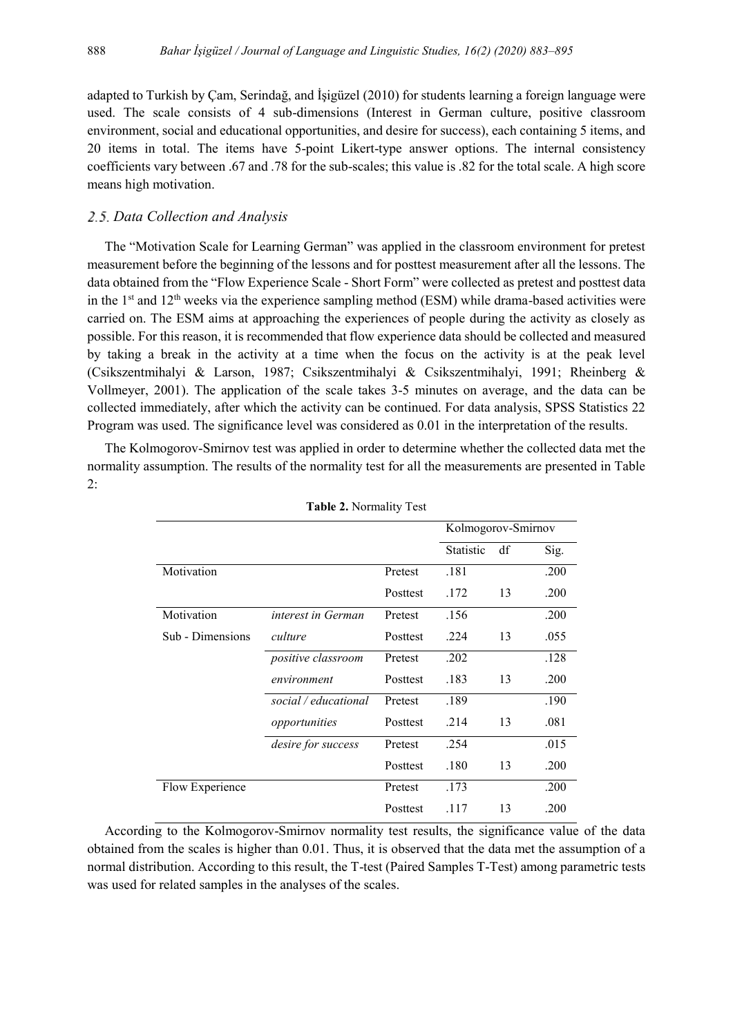adapted to Turkish by Çam, Serindağ, and İşigüzel (2010) for students learning a foreign language were used. The scale consists of 4 sub-dimensions (Interest in German culture, positive classroom environment, social and educational opportunities, and desire for success), each containing 5 items, and 20 items in total. The items have 5-point Likert-type answer options. The internal consistency coefficients vary between .67 and .78 for the sub-scales; this value is .82 for the total scale. A high score means high motivation.

#### *Data Collection and Analysis*

The "Motivation Scale for Learning German" was applied in the classroom environment for pretest measurement before the beginning of the lessons and for posttest measurement after all the lessons. The data obtained from the "Flow Experience Scale - Short Form" were collected as pretest and posttest data in the 1<sup>st</sup> and 12<sup>th</sup> weeks via the experience sampling method (ESM) while drama-based activities were carried on. The ESM aims at approaching the experiences of people during the activity as closely as possible. For this reason, it is recommended that flow experience data should be collected and measured by taking a break in the activity at a time when the focus on the activity is at the peak level (Csikszentmihalyi & Larson, 1987; Csikszentmihalyi & Csikszentmihalyi, 1991; Rheinberg & Vollmeyer, 2001). The application of the scale takes 3-5 minutes on average, and the data can be collected immediately, after which the activity can be continued. For data analysis, SPSS Statistics 22 Program was used. The significance level was considered as 0.01 in the interpretation of the results.

The Kolmogorov-Smirnov test was applied in order to determine whether the collected data met the normality assumption. The results of the normality test for all the measurements are presented in Table 2:

|                  | $\frac{1}{2}$ and $\frac{1}{2}$ . The state of $\frac{1}{2}$ |          |                    |    |      |
|------------------|--------------------------------------------------------------|----------|--------------------|----|------|
|                  |                                                              |          | Kolmogorov-Smirnov |    |      |
|                  |                                                              |          | <b>Statistic</b>   | df | Sig. |
| Motivation       |                                                              | Pretest  | .181               |    | .200 |
|                  |                                                              | Posttest | .172               | 13 | .200 |
| Motivation       | interest in German                                           | Pretest  | .156               |    | .200 |
| Sub - Dimensions | culture                                                      | Posttest | .224               | 13 | .055 |
|                  | positive classroom                                           | Pretest  | .202               |    | .128 |
|                  | environment                                                  | Posttest | .183               | 13 | .200 |
|                  | social / educational                                         | Pretest  | .189               |    | .190 |
|                  | opportunities                                                | Posttest | .214               | 13 | .081 |
|                  | desire for success                                           | Pretest  | .254               |    | .015 |
|                  |                                                              | Posttest | .180               | 13 | .200 |
| Flow Experience  |                                                              | Pretest  | .173               |    | .200 |
|                  |                                                              | Posttest | .117               | 13 | .200 |

**Table 2.** Normality Test

According to the Kolmogorov-Smirnov normality test results, the significance value of the data obtained from the scales is higher than 0.01. Thus, it is observed that the data met the assumption of a normal distribution. According to this result, the T-test (Paired Samples T-Test) among parametric tests was used for related samples in the analyses of the scales.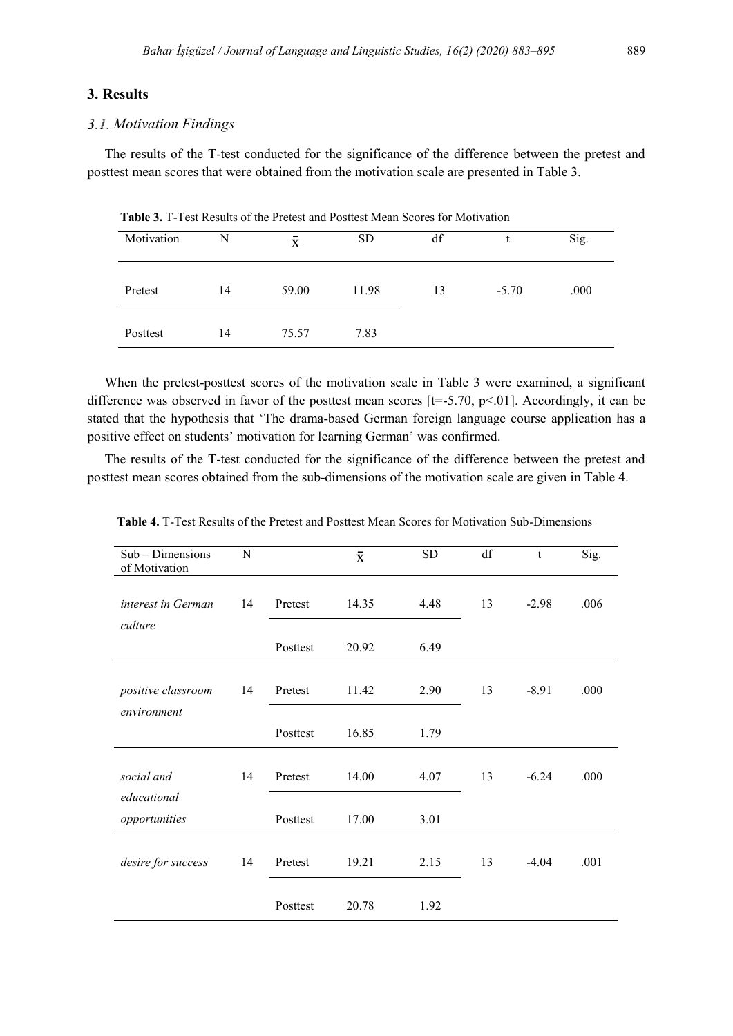## **3. Results**

#### *Motivation Findings*

The results of the T-test conducted for the significance of the difference between the pretest and posttest mean scores that were obtained from the motivation scale are presented in Table 3.

| Motivation | N  | $\bar{\mathbf{X}}$ | <b>SD</b> | df |         | Sig. |
|------------|----|--------------------|-----------|----|---------|------|
| Pretest    | 14 | 59.00              | 11.98     | 13 | $-5.70$ | .000 |
| Posttest   | 14 | 75.57              | 7.83      |    |         |      |

 **Table 3.** T-Test Results of the Pretest and Posttest Mean Scores for Motivation

When the pretest-posttest scores of the motivation scale in Table 3 were examined, a significant difference was observed in favor of the posttest mean scores  $[t=.5.70, p<.01]$ . Accordingly, it can be stated that the hypothesis that 'The drama-based German foreign language course application has a positive effect on students' motivation for learning German' was confirmed.

The results of the T-test conducted for the significance of the difference between the pretest and posttest mean scores obtained from the sub-dimensions of the motivation scale are given in Table 4.

| Sub - Dimensions<br>of Motivation | N  |          | $\bar{\textbf{x}}$ | <b>SD</b> | df | t       | Sig. |
|-----------------------------------|----|----------|--------------------|-----------|----|---------|------|
| interest in German<br>culture     | 14 | Pretest  | 14.35              | 4.48      | 13 | $-2.98$ | .006 |
|                                   |    | Posttest | 20.92              | 6.49      |    |         |      |
| positive classroom<br>environment | 14 | Pretest  | 11.42              | 2.90      | 13 | $-8.91$ | .000 |
|                                   |    | Posttest | 16.85              | 1.79      |    |         |      |
| social and<br>educational         | 14 | Pretest  | 14.00              | 4.07      | 13 | $-6.24$ | .000 |
| opportunities                     |    | Posttest | 17.00              | 3.01      |    |         |      |
| desire for success                | 14 | Pretest  | 19.21              | 2.15      | 13 | $-4.04$ | .001 |
|                                   |    | Posttest | 20.78              | 1.92      |    |         |      |

 **Table 4.** T-Test Results of the Pretest and Posttest Mean Scores for Motivation Sub-Dimensions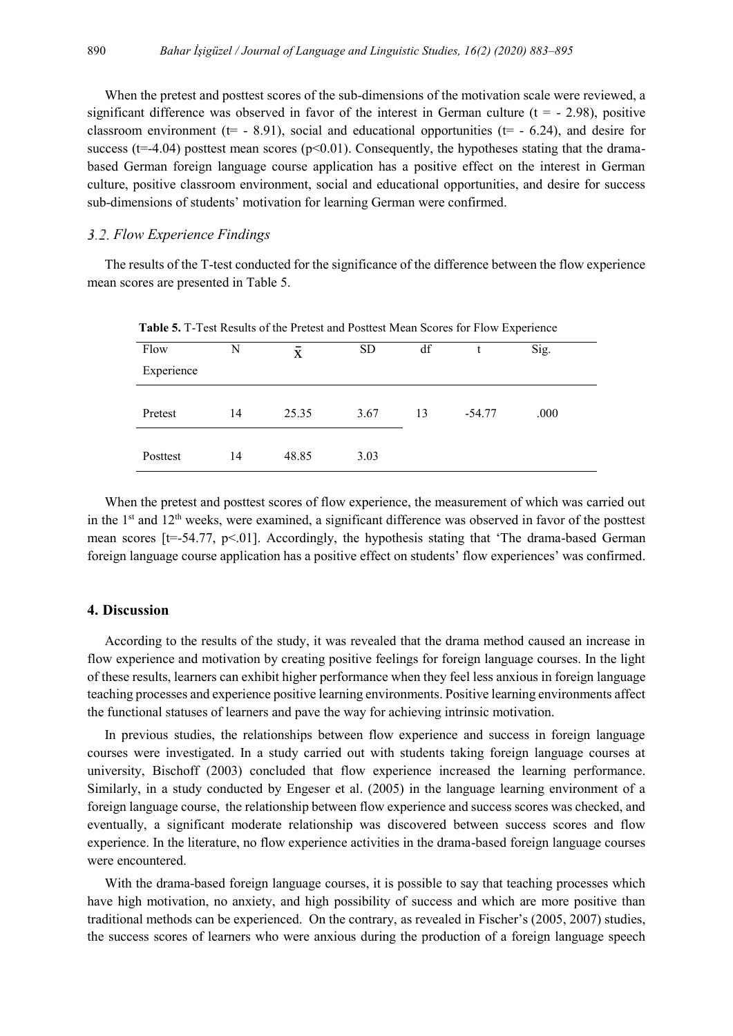When the pretest and posttest scores of the sub-dimensions of the motivation scale were reviewed, a significant difference was observed in favor of the interest in German culture ( $t = -2.98$ ), positive classroom environment ( $t=$  - 8.91), social and educational opportunities ( $t=$  - 6.24), and desire for success ( $t=-4.04$ ) posttest mean scores ( $p<0.01$ ). Consequently, the hypotheses stating that the dramabased German foreign language course application has a positive effect on the interest in German culture, positive classroom environment, social and educational opportunities, and desire for success sub-dimensions of students' motivation for learning German were confirmed.

#### *Flow Experience Findings*

The results of the T-test conducted for the significance of the difference between the flow experience mean scores are presented in Table 5.

| - WORD OF I TWO REDUCED OF MID I FURNO WILD I CONSOLITIONS IOI I TO A EMPORTUNE |    |       |           |    |          |      |  |  |
|---------------------------------------------------------------------------------|----|-------|-----------|----|----------|------|--|--|
| Flow                                                                            | N  | X     | <b>SD</b> | df |          | Sig. |  |  |
| Experience                                                                      |    |       |           |    |          |      |  |  |
|                                                                                 |    |       |           |    |          |      |  |  |
| Pretest                                                                         | 14 | 25.35 | 3.67      | 13 | $-54.77$ | .000 |  |  |
|                                                                                 |    |       |           |    |          |      |  |  |
| Posttest                                                                        | 14 | 48.85 | 3.03      |    |          |      |  |  |

 **Table 5.** T-Test Results of the Pretest and Posttest Mean Scores for Flow Experience

When the pretest and posttest scores of flow experience, the measurement of which was carried out in the 1<sup>st</sup> and 12<sup>th</sup> weeks, were examined, a significant difference was observed in favor of the posttest mean scores  $[t=.54.77, p<0.01]$ . Accordingly, the hypothesis stating that 'The drama-based German foreign language course application has a positive effect on students' flow experiences' was confirmed.

#### **4. Discussion**

According to the results of the study, it was revealed that the drama method caused an increase in flow experience and motivation by creating positive feelings for foreign language courses. In the light of these results, learners can exhibit higher performance when they feel less anxious in foreign language teaching processes and experience positive learning environments. Positive learning environments affect the functional statuses of learners and pave the way for achieving intrinsic motivation.

In previous studies, the relationships between flow experience and success in foreign language courses were investigated. In a study carried out with students taking foreign language courses at university, Bischoff (2003) concluded that flow experience increased the learning performance. Similarly, in a study conducted by Engeser et al. (2005) in the language learning environment of a foreign language course, the relationship between flow experience and success scores was checked, and eventually, a significant moderate relationship was discovered between success scores and flow experience. In the literature, no flow experience activities in the drama-based foreign language courses were encountered.

With the drama-based foreign language courses, it is possible to say that teaching processes which have high motivation, no anxiety, and high possibility of success and which are more positive than traditional methods can be experienced. On the contrary, as revealed in Fischer's (2005, 2007) studies, the success scores of learners who were anxious during the production of a foreign language speech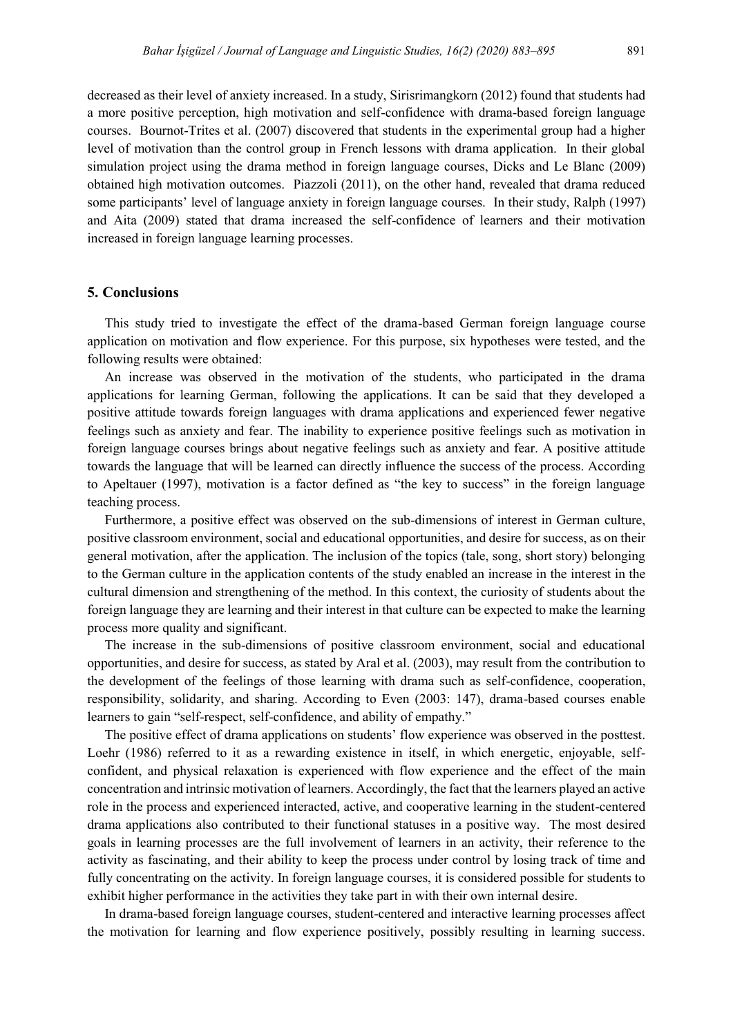decreased as their level of anxiety increased. In a study, Sirisrimangkorn (2012) found that students had a more positive perception, high motivation and self-confidence with drama-based foreign language courses. Bournot-Trites et al. (2007) discovered that students in the experimental group had a higher level of motivation than the control group in French lessons with drama application. In their global simulation project using the drama method in foreign language courses, Dicks and Le Blanc (2009) obtained high motivation outcomes. Piazzoli (2011), on the other hand, revealed that drama reduced some participants' level of language anxiety in foreign language courses. In their study, Ralph (1997) and Aita (2009) stated that drama increased the self-confidence of learners and their motivation increased in foreign language learning processes.

## **5. Conclusions**

This study tried to investigate the effect of the drama-based German foreign language course application on motivation and flow experience. For this purpose, six hypotheses were tested, and the following results were obtained:

An increase was observed in the motivation of the students, who participated in the drama applications for learning German, following the applications. It can be said that they developed a positive attitude towards foreign languages with drama applications and experienced fewer negative feelings such as anxiety and fear. The inability to experience positive feelings such as motivation in foreign language courses brings about negative feelings such as anxiety and fear. A positive attitude towards the language that will be learned can directly influence the success of the process. According to Apeltauer (1997), motivation is a factor defined as "the key to success" in the foreign language teaching process.

Furthermore, a positive effect was observed on the sub-dimensions of interest in German culture, positive classroom environment, social and educational opportunities, and desire for success, as on their general motivation, after the application. The inclusion of the topics (tale, song, short story) belonging to the German culture in the application contents of the study enabled an increase in the interest in the cultural dimension and strengthening of the method. In this context, the curiosity of students about the foreign language they are learning and their interest in that culture can be expected to make the learning process more quality and significant.

The increase in the sub-dimensions of positive classroom environment, social and educational opportunities, and desire for success, as stated by Aral et al. (2003), may result from the contribution to the development of the feelings of those learning with drama such as self-confidence, cooperation, responsibility, solidarity, and sharing. According to Even (2003: 147), drama-based courses enable learners to gain "self-respect, self-confidence, and ability of empathy."

The positive effect of drama applications on students' flow experience was observed in the posttest. Loehr (1986) referred to it as a rewarding existence in itself, in which energetic, enjoyable, selfconfident, and physical relaxation is experienced with flow experience and the effect of the main concentration and intrinsic motivation of learners. Accordingly, the fact that the learners played an active role in the process and experienced interacted, active, and cooperative learning in the student-centered drama applications also contributed to their functional statuses in a positive way. The most desired goals in learning processes are the full involvement of learners in an activity, their reference to the activity as fascinating, and their ability to keep the process under control by losing track of time and fully concentrating on the activity. In foreign language courses, it is considered possible for students to exhibit higher performance in the activities they take part in with their own internal desire.

In drama-based foreign language courses, student-centered and interactive learning processes affect the motivation for learning and flow experience positively, possibly resulting in learning success.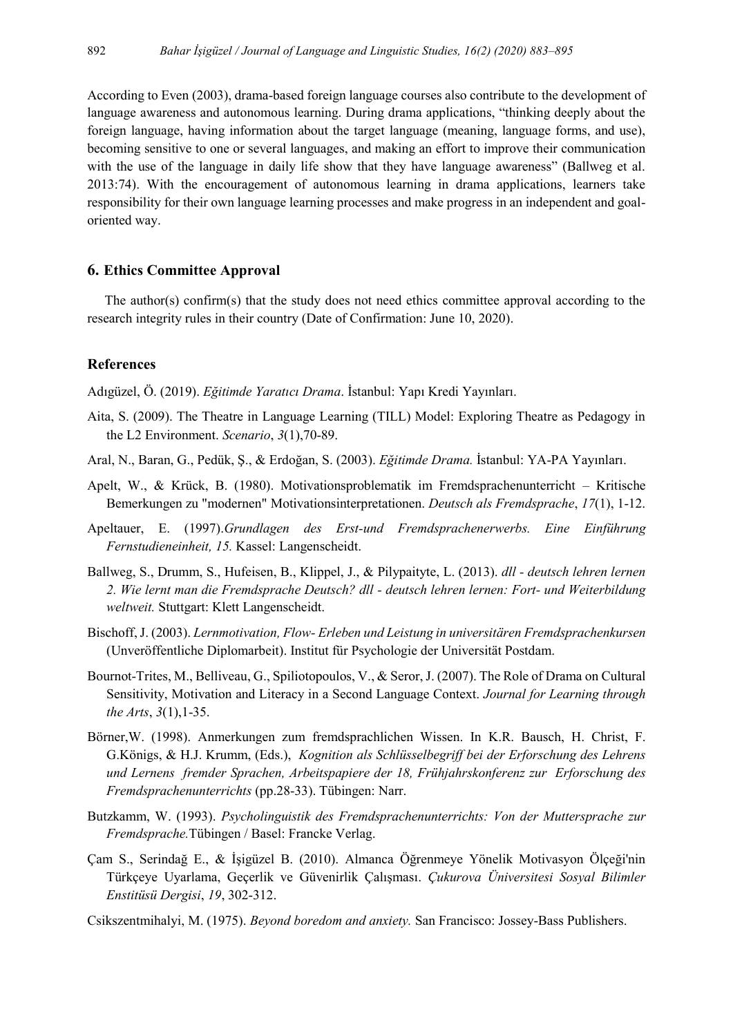According to Even (2003), drama-based foreign language courses also contribute to the development of language awareness and autonomous learning. During drama applications, "thinking deeply about the foreign language, having information about the target language (meaning, language forms, and use), becoming sensitive to one or several languages, and making an effort to improve their communication with the use of the language in daily life show that they have language awareness" (Ballweg et al. 2013:74). With the encouragement of autonomous learning in drama applications, learners take responsibility for their own language learning processes and make progress in an independent and goaloriented way.

## **6. Ethics Committee Approval**

The author(s) confirm(s) that the study does not need ethics committee approval according to the research integrity rules in their country (Date of Confirmation: June 10, 2020).

## **References**

Adıgüzel, Ö. (2019). *Eğitimde Yaratıcı Drama*. İstanbul: Yapı Kredi Yayınları.

- Aita, S. (2009). The Theatre in Language Learning (TILL) Model: Exploring Theatre as Pedagogy in the L2 Environment. *Scenario*, *3*(1),70-89.
- Aral, N., Baran, G., Pedük, Ş., & Erdoğan, S. (2003). *Eğitimde Drama.* İstanbul: YA-PA Yayınları.
- Apelt, W., & Krück, B. (1980). Motivationsproblematik im Fremdsprachenunterricht Kritische Bemerkungen zu "modernen" Motivationsinterpretationen. *Deutsch als Fremdsprache*, *17*(1), 1-12.
- Apeltauer, E. (1997).*Grundlagen des Erst-und Fremdsprachenerwerbs. Eine Einführung Fernstudieneinheit, 15.* Kassel: Langenscheidt.
- Ballweg, S., Drumm, S., Hufeisen, B., Klippel, J., & Pilypaityte, L. (2013). *dll - deutsch lehren lernen 2. Wie lernt man die Fremdsprache Deutsch? dll - deutsch lehren lernen: Fort- und Weiterbildung weltweit.* Stuttgart: Klett Langenscheidt.
- Bischoff, J. (2003). *Lernmotivation, Flow- Erleben und Leistung in universitären Fremdsprachenkursen* (Unveröffentliche Diplomarbeit). Institut für Psychologie der Universität Postdam.
- Bournot-Trites, M., Belliveau, G., Spiliotopoulos, V., & Seror, J. (2007). The Role of Drama on Cultural Sensitivity, Motivation and Literacy in a Second Language Context. *Journal for Learning through the Arts*, *3*(1),1-35.
- Börner,W. (1998). Anmerkungen zum fremdsprachlichen Wissen. In K.R. Bausch, H. Christ, F. G.Königs, & H.J. Krumm, (Eds.), *Kognition als Schlüsselbegriff bei der Erforschung des Lehrens und Lernens fremder Sprachen, Arbeitspapiere der 18, Frühjahrskonferenz zur Erforschung des Fremdsprachenunterrichts* (pp.28-33). Tübingen: Narr.
- Butzkamm, W. (1993). *Psycholinguistik des Fremdsprachenunterrichts: Von der Muttersprache zur Fremdsprache.*Tübingen / Basel: Francke Verlag.
- Çam S., Serindağ E., & İşigüzel B. (2010). Almanca Öğrenmeye Yönelik Motivasyon Ölçeği'nin Türkçeye Uyarlama, Geçerlik ve Güvenirlik Çalışması. *Çukurova Üniversitesi Sosyal Bilimler Enstitüsü Dergisi*, *19*, 302-312.
- Csikszentmihalyi, M. (1975). *Beyond boredom and anxiety.* San Francisco: Jossey-Bass Publishers.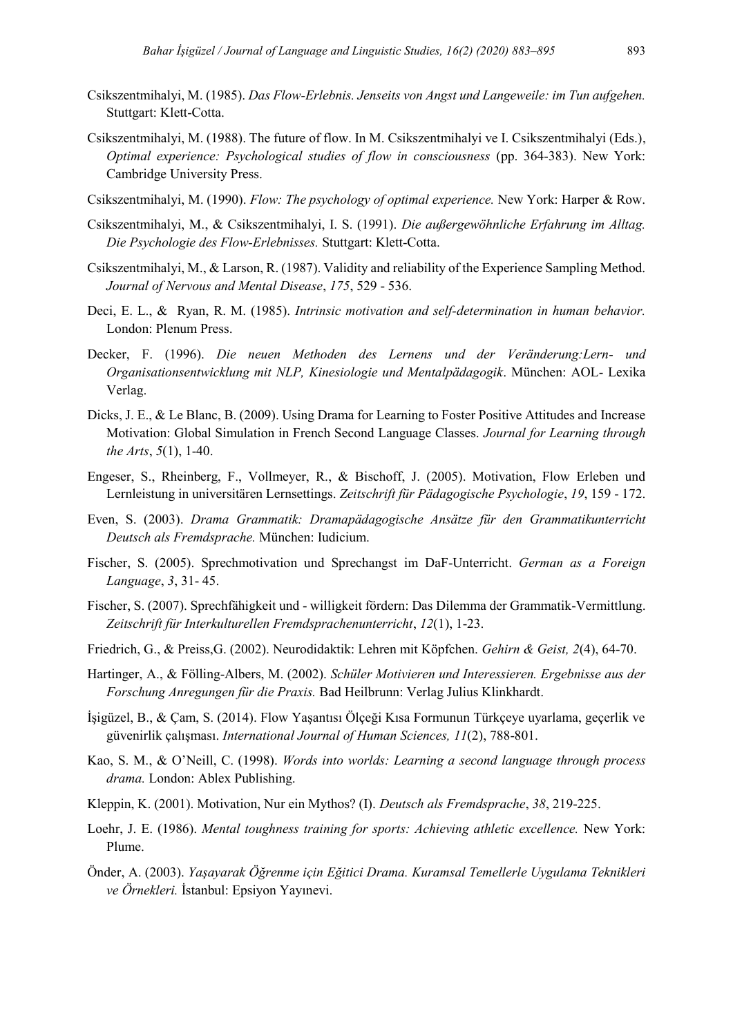- Csikszentmihalyi, M. (1985). *Das Flow-Erlebnis. Jenseits von Angst und Langeweile: im Tun aufgehen.* Stuttgart: Klett-Cotta.
- Csikszentmihalyi, M. (1988). The future of flow. In M. Csikszentmihalyi ve I. Csikszentmihalyi (Eds.), *Optimal experience: Psychological studies of flow in consciousness* (pp. 364-383). New York: Cambridge University Press.
- Csikszentmihalyi, M. (1990). *Flow: The psychology of optimal experience.* New York: Harper & Row.
- Csikszentmihalyi, M., & Csikszentmihalyi, I. S. (1991). *Die außergewöhnliche Erfahrung im Alltag. Die Psychologie des Flow-Erlebnisses.* Stuttgart: Klett-Cotta.
- Csikszentmihalyi, M., & Larson, R. (1987). Validity and reliability of the Experience Sampling Method. *Journal of Nervous and Mental Disease*, *175*, 529 - 536.
- Deci, E. L., & Ryan, R. M. (1985). *Intrinsic motivation and self-determination in human behavior.* London: Plenum Press.
- Decker, F. (1996). *Die neuen Methoden des Lernens und der Veränderung:Lern- und Organisationsentwicklung mit NLP, Kinesiologie und Mentalpädagogik*. München: AOL- Lexika Verlag.
- Dicks, J. E., & Le Blanc, B. (2009). Using Drama for Learning to Foster Positive Attitudes and Increase Motivation: Global Simulation in French Second Language Classes. *Journal for Learning through the Arts*, *5*(1), 1-40.
- Engeser, S., Rheinberg, F., Vollmeyer, R., & Bischoff, J. (2005). Motivation, Flow Erleben und Lernleistung in universitären Lernsettings. *Zeitschrift für Pädagogische Psychologie*, *19*, 159 - 172.
- Even, S. (2003). *Drama Grammatik: Dramapädagogische Ansätze für den Grammatikunterricht Deutsch als Fremdsprache.* München: Iudicium.
- Fischer, S. (2005). Sprechmotivation und Sprechangst im DaF-Unterricht. *German as a Foreign Language*, *3*, 31- 45.
- Fischer, S. (2007). Sprechfähigkeit und willigkeit fördern: Das Dilemma der Grammatik-Vermittlung. *Zeitschrift für Interkulturellen Fremdsprachenunterricht*, *12*(1), 1-23.
- Friedrich, G., & Preiss,G. (2002). Neurodidaktik: Lehren mit Köpfchen. *Gehirn & Geist, 2*(4), 64-70.
- Hartinger, A., & Fölling-Albers, M. (2002). *Schüler Motivieren und Interessieren. Ergebnisse aus der Forschung Anregungen für die Praxis.* Bad Heilbrunn: Verlag Julius Klinkhardt.
- İşigüzel, B., & Çam, S. (2014). Flow Yaşantısı Ölçeği Kısa Formunun Türkçeye uyarlama, geçerlik ve güvenirlik çalışması. *International Journal of Human Sciences, 11*(2), 788-801.
- Kao, S. M., & O'Neill, C. (1998). *Words into worlds: Learning a second language through process drama.* London: Ablex Publishing.
- Kleppin, K. (2001). Motivation, Nur ein Mythos? (I). *Deutsch als Fremdsprache*, *38*, 219-225.
- Loehr, J. E. (1986). *Mental toughness training for sports: Achieving athletic excellence.* New York: Plume.
- Önder, A. (2003). *Yaşayarak Öğrenme için Eğitici Drama. Kuramsal Temellerle Uygulama Teknikleri ve Örnekleri.* İstanbul: Epsiyon Yayınevi.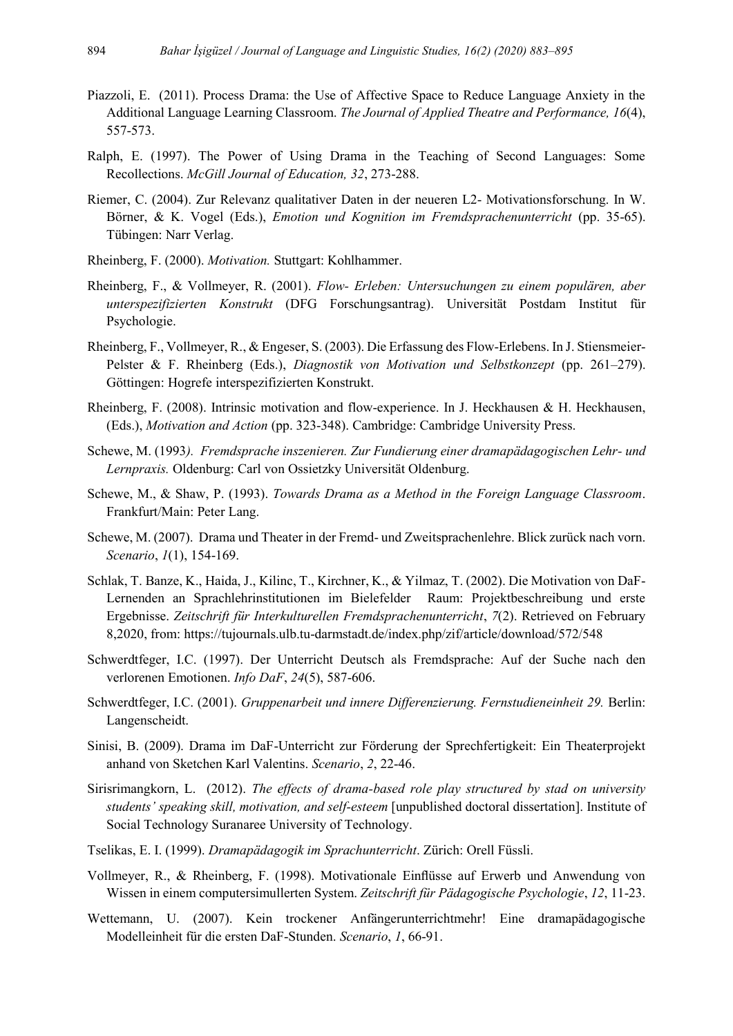- Piazzoli, E. (2011). Process Drama: the Use of Affective Space to Reduce Language Anxiety in the Additional Language Learning Classroom. *The Journal of Applied Theatre and Performance, 16*(4), 557-573.
- Ralph, E. (1997). The Power of Using Drama in the Teaching of Second Languages: Some Recollections. *McGill Journal of Education, 32*, 273-288.
- Riemer, C. (2004). Zur Relevanz qualitativer Daten in der neueren L2- Motivationsforschung. In W. Börner, & K. Vogel (Eds.), *Emotion und Kognition im Fremdsprachenunterricht* (pp. 35-65). Tübingen: Narr Verlag.
- Rheinberg, F. (2000). *Motivation.* Stuttgart: Kohlhammer.
- Rheinberg, F., & Vollmeyer, R. (2001). *Flow- Erleben: Untersuchungen zu einem populären, aber unterspezifizierten Konstrukt* (DFG Forschungsantrag). Universität Postdam Institut für Psychologie.
- Rheinberg, F., Vollmeyer, R., & Engeser, S. (2003). Die Erfassung des Flow-Erlebens. In J. Stiensmeier-Pelster & F. Rheinberg (Eds.), *Diagnostik von Motivation und Selbstkonzept* (pp. 261–279). Göttingen: Hogrefe interspezifizierten Konstrukt.
- Rheinberg, F. (2008). Intrinsic motivation and flow-experience. In J. Heckhausen & H. Heckhausen, (Eds.), *Motivation and Action* (pp. 323-348). Cambridge: Cambridge University Press.
- Schewe, M. (1993*). Fremdsprache inszenieren. Zur Fundierung einer dramapädagogischen Lehr- und Lernpraxis.* Oldenburg: Carl von Ossietzky Universität Oldenburg.
- Schewe, M., & Shaw, P. (1993). *Towards Drama as a Method in the Foreign Language Classroom*. Frankfurt/Main: Peter Lang.
- Schewe, M. (2007). Drama und Theater in der Fremd- und Zweitsprachenlehre. Blick zurück nach vorn. *Scenario*, *1*(1), 154-169.
- Schlak, T. Banze, K., Haida, J., Kilinc, T., Kirchner, K., & Yilmaz, T. (2002). Die Motivation von DaF-Lernenden an Sprachlehrinstitutionen im Bielefelder Raum: Projektbeschreibung und erste Ergebnisse. *Zeitschrift für Interkulturellen Fremdsprachenunterricht*, *7*(2). Retrieved on February 8,2020, from: https://tujournals.ulb.tu-darmstadt.de/index.php/zif/article/download/572/548
- Schwerdtfeger, I.C. (1997). Der Unterricht Deutsch als Fremdsprache: Auf der Suche nach den verlorenen Emotionen. *Info DaF*, *24*(5), 587-606.
- Schwerdtfeger, I.C. (2001). *Gruppenarbeit und innere Differenzierung. Fernstudieneinheit 29.* Berlin: Langenscheidt.
- Sinisi, B. (2009). Drama im DaF-Unterricht zur Förderung der Sprechfertigkeit: Ein Theaterprojekt anhand von Sketchen Karl Valentins. *Scenario*, *2*, 22-46.
- Sirisrimangkorn, L. (2012). *The effects of drama-based role play structured by stad on university students' speaking skill, motivation, and self-esteem* [unpublished doctoral dissertation]. Institute of Social Technology Suranaree University of Technology.
- Tselikas, E. I. (1999). *Dramapädagogik im Sprachunterricht*. Zürich: Orell Füssli.
- Vollmeyer, R., & Rheinberg, F. (1998). Motivationale Einflüsse auf Erwerb und Anwendung von Wissen in einem computersimullerten System. *Zeitschrift für Pädagogische Psychologie*, *12*, 11-23.
- Wettemann, U. (2007). Kein trockener Anfängerunterrichtmehr! Eine dramapädagogische Modelleinheit für die ersten DaF-Stunden. *Scenario*, *1*, 66-91.